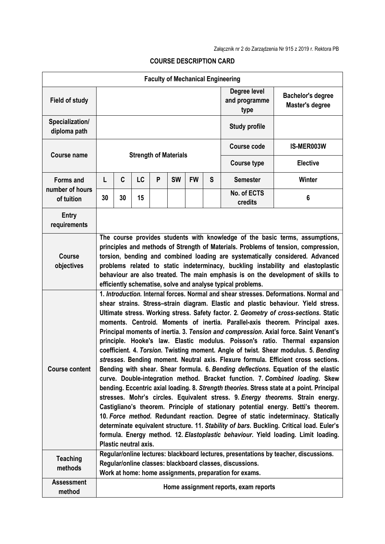| <b>Faculty of Mechanical Engineering</b>          |                                                                                                                                                                                                                                                                                                                                                                                                                                                                                            |                                                                                                                                                                                                                                                                                                                                                                                                                                                                                                                                                                                                                                                                                                                                                                                                                                                                                                                                                                                                                                                                                                                                                                                                                                                                                                                                                                                                                                                         |           |                                       |           |           |                                       |                                                                                                                    |                                                                                      |  |  |
|---------------------------------------------------|--------------------------------------------------------------------------------------------------------------------------------------------------------------------------------------------------------------------------------------------------------------------------------------------------------------------------------------------------------------------------------------------------------------------------------------------------------------------------------------------|---------------------------------------------------------------------------------------------------------------------------------------------------------------------------------------------------------------------------------------------------------------------------------------------------------------------------------------------------------------------------------------------------------------------------------------------------------------------------------------------------------------------------------------------------------------------------------------------------------------------------------------------------------------------------------------------------------------------------------------------------------------------------------------------------------------------------------------------------------------------------------------------------------------------------------------------------------------------------------------------------------------------------------------------------------------------------------------------------------------------------------------------------------------------------------------------------------------------------------------------------------------------------------------------------------------------------------------------------------------------------------------------------------------------------------------------------------|-----------|---------------------------------------|-----------|-----------|---------------------------------------|--------------------------------------------------------------------------------------------------------------------|--------------------------------------------------------------------------------------|--|--|
| <b>Field of study</b>                             |                                                                                                                                                                                                                                                                                                                                                                                                                                                                                            |                                                                                                                                                                                                                                                                                                                                                                                                                                                                                                                                                                                                                                                                                                                                                                                                                                                                                                                                                                                                                                                                                                                                                                                                                                                                                                                                                                                                                                                         |           |                                       |           |           | Degree level<br>and programme<br>type | <b>Bachelor's degree</b><br>Master's degree                                                                        |                                                                                      |  |  |
| Specialization/<br>diploma path                   |                                                                                                                                                                                                                                                                                                                                                                                                                                                                                            |                                                                                                                                                                                                                                                                                                                                                                                                                                                                                                                                                                                                                                                                                                                                                                                                                                                                                                                                                                                                                                                                                                                                                                                                                                                                                                                                                                                                                                                         |           |                                       |           |           |                                       | <b>Study profile</b>                                                                                               |                                                                                      |  |  |
| <b>Course name</b>                                | <b>Strength of Materials</b>                                                                                                                                                                                                                                                                                                                                                                                                                                                               |                                                                                                                                                                                                                                                                                                                                                                                                                                                                                                                                                                                                                                                                                                                                                                                                                                                                                                                                                                                                                                                                                                                                                                                                                                                                                                                                                                                                                                                         |           |                                       |           |           |                                       | <b>Course code</b>                                                                                                 | IS-MER003W                                                                           |  |  |
|                                                   |                                                                                                                                                                                                                                                                                                                                                                                                                                                                                            |                                                                                                                                                                                                                                                                                                                                                                                                                                                                                                                                                                                                                                                                                                                                                                                                                                                                                                                                                                                                                                                                                                                                                                                                                                                                                                                                                                                                                                                         |           |                                       |           |           |                                       | <b>Course type</b>                                                                                                 | <b>Elective</b>                                                                      |  |  |
| <b>Forms and</b><br>number of hours<br>of tuition | L                                                                                                                                                                                                                                                                                                                                                                                                                                                                                          | C                                                                                                                                                                                                                                                                                                                                                                                                                                                                                                                                                                                                                                                                                                                                                                                                                                                                                                                                                                                                                                                                                                                                                                                                                                                                                                                                                                                                                                                       | <b>LC</b> | P                                     | <b>SW</b> | <b>FW</b> | S                                     | <b>Semester</b>                                                                                                    | <b>Winter</b>                                                                        |  |  |
|                                                   | 30                                                                                                                                                                                                                                                                                                                                                                                                                                                                                         | 30                                                                                                                                                                                                                                                                                                                                                                                                                                                                                                                                                                                                                                                                                                                                                                                                                                                                                                                                                                                                                                                                                                                                                                                                                                                                                                                                                                                                                                                      | 15        |                                       |           |           |                                       | No. of ECTS<br>credits                                                                                             | 6                                                                                    |  |  |
| <b>Entry</b><br>requirements                      |                                                                                                                                                                                                                                                                                                                                                                                                                                                                                            |                                                                                                                                                                                                                                                                                                                                                                                                                                                                                                                                                                                                                                                                                                                                                                                                                                                                                                                                                                                                                                                                                                                                                                                                                                                                                                                                                                                                                                                         |           |                                       |           |           |                                       |                                                                                                                    |                                                                                      |  |  |
| <b>Course</b><br>objectives                       | The course provides students with knowledge of the basic terms, assumptions,<br>principles and methods of Strength of Materials. Problems of tension, compression,<br>torsion, bending and combined loading are systematically considered. Advanced<br>problems related to static indeterminacy, buckling instability and elastoplastic<br>behaviour are also treated. The main emphasis is on the development of skills to<br>efficiently schematise, solve and analyse typical problems. |                                                                                                                                                                                                                                                                                                                                                                                                                                                                                                                                                                                                                                                                                                                                                                                                                                                                                                                                                                                                                                                                                                                                                                                                                                                                                                                                                                                                                                                         |           |                                       |           |           |                                       |                                                                                                                    |                                                                                      |  |  |
| <b>Course content</b>                             |                                                                                                                                                                                                                                                                                                                                                                                                                                                                                            | 1. Introduction. Internal forces. Normal and shear stresses. Deformations. Normal and<br>shear strains. Stress-strain diagram. Elastic and plastic behaviour. Yield stress.<br>Ultimate stress. Working stress. Safety factor. 2. Geometry of cross-sections. Static<br>moments. Centroid. Moments of inertia. Parallel-axis theorem. Principal axes.<br>Principal moments of inertia. 3. Tension and compression. Axial force. Saint Venant's<br>principle. Hooke's law. Elastic modulus. Poisson's ratio. Thermal expansion<br>coefficient. 4. Torsion. Twisting moment. Angle of twist. Shear modulus. 5. Bending<br>stresses. Bending moment. Neutral axis. Flexure formula. Efficient cross sections.<br>Bending with shear. Shear formula. 6. Bending deflections. Equation of the elastic<br>curve. Double-integration method. Bracket function. 7. Combined loading. Skew<br>bending. Eccentric axial loading. 8. Strength theories. Stress state at a point. Principal<br>stresses. Mohr's circles. Equivalent stress. 9. Energy theorems. Strain energy.<br>Castigliano's theorem. Principle of stationary potential energy. Betti's theorem.<br>10. Force method. Redundant reaction. Degree of static indeterminacy. Statically<br>determinate equivalent structure. 11. Stability of bars. Buckling. Critical load. Euler's<br>formula. Energy method. 12. Elastoplastic behaviour. Yield loading. Limit loading.<br>Plastic neutral axis. |           |                                       |           |           |                                       |                                                                                                                    |                                                                                      |  |  |
| <b>Teaching</b><br>methods                        |                                                                                                                                                                                                                                                                                                                                                                                                                                                                                            |                                                                                                                                                                                                                                                                                                                                                                                                                                                                                                                                                                                                                                                                                                                                                                                                                                                                                                                                                                                                                                                                                                                                                                                                                                                                                                                                                                                                                                                         |           |                                       |           |           |                                       | Regular/online classes: blackboard classes, discussions.<br>Work at home: home assignments, preparation for exams. | Regular/online lectures: blackboard lectures, presentations by teacher, discussions. |  |  |
| <b>Assessment</b><br>method                       |                                                                                                                                                                                                                                                                                                                                                                                                                                                                                            |                                                                                                                                                                                                                                                                                                                                                                                                                                                                                                                                                                                                                                                                                                                                                                                                                                                                                                                                                                                                                                                                                                                                                                                                                                                                                                                                                                                                                                                         |           | Home assignment reports, exam reports |           |           |                                       |                                                                                                                    |                                                                                      |  |  |

## **COURSE DESCRIPTION CARD**